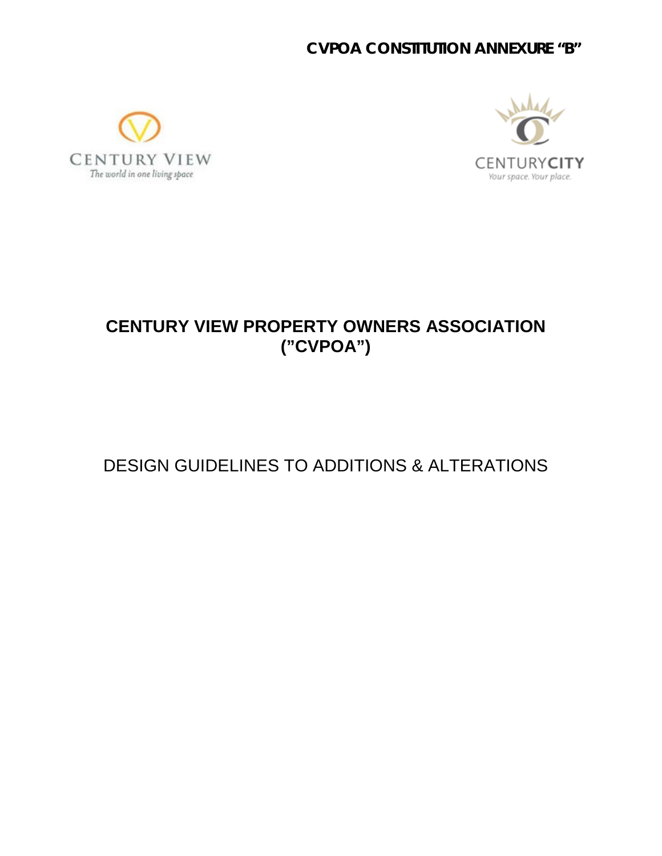### **CVPOA CONSTITUTION ANNEXURE "B"**





## **CENTURY VIEW PROPERTY OWNERS ASSOCIATION ("CVPOA")**

# DESIGN GUIDELINES TO ADDITIONS & ALTERATIONS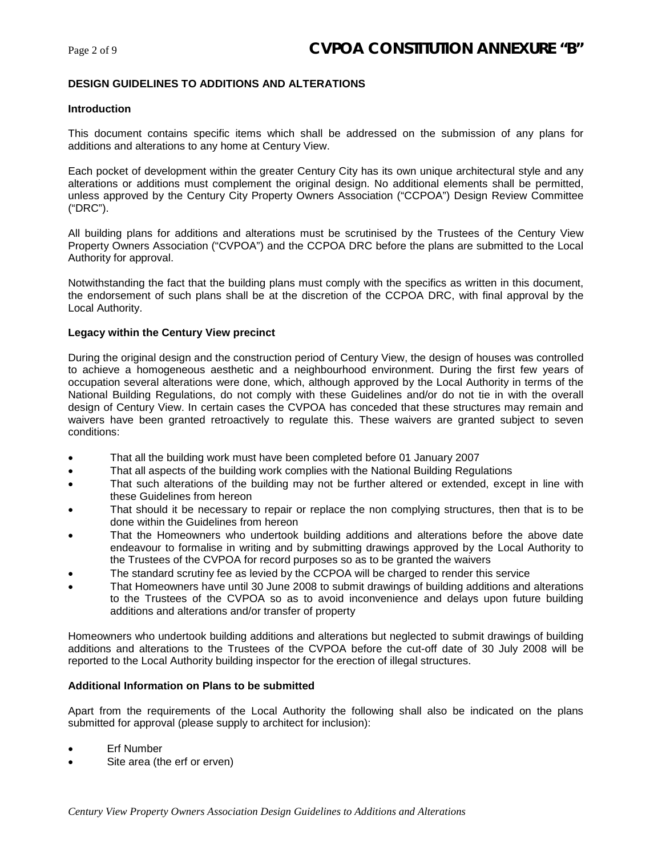#### **DESIGN GUIDELINES TO ADDITIONS AND ALTERATIONS**

#### **Introduction**

This document contains specific items which shall be addressed on the submission of any plans for additions and alterations to any home at Century View.

Each pocket of development within the greater Century City has its own unique architectural style and any alterations or additions must complement the original design. No additional elements shall be permitted, unless approved by the Century City Property Owners Association ("CCPOA") Design Review Committee ("DRC").

All building plans for additions and alterations must be scrutinised by the Trustees of the Century View Property Owners Association ("CVPOA") and the CCPOA DRC before the plans are submitted to the Local Authority for approval.

Notwithstanding the fact that the building plans must comply with the specifics as written in this document, the endorsement of such plans shall be at the discretion of the CCPOA DRC, with final approval by the Local Authority.

#### **Legacy within the Century View precinct**

During the original design and the construction period of Century View, the design of houses was controlled to achieve a homogeneous aesthetic and a neighbourhood environment. During the first few years of occupation several alterations were done, which, although approved by the Local Authority in terms of the National Building Regulations, do not comply with these Guidelines and/or do not tie in with the overall design of Century View. In certain cases the CVPOA has conceded that these structures may remain and waivers have been granted retroactively to regulate this. These waivers are granted subject to seven conditions:

- That all the building work must have been completed before 01 January 2007
- That all aspects of the building work complies with the National Building Regulations
- That such alterations of the building may not be further altered or extended, except in line with these Guidelines from hereon
- That should it be necessary to repair or replace the non complying structures, then that is to be done within the Guidelines from hereon
- That the Homeowners who undertook building additions and alterations before the above date endeavour to formalise in writing and by submitting drawings approved by the Local Authority to the Trustees of the CVPOA for record purposes so as to be granted the waivers
- The standard scrutiny fee as levied by the CCPOA will be charged to render this service
- That Homeowners have until 30 June 2008 to submit drawings of building additions and alterations to the Trustees of the CVPOA so as to avoid inconvenience and delays upon future building additions and alterations and/or transfer of property

Homeowners who undertook building additions and alterations but neglected to submit drawings of building additions and alterations to the Trustees of the CVPOA before the cut-off date of 30 July 2008 will be reported to the Local Authority building inspector for the erection of illegal structures.

#### **Additional Information on Plans to be submitted**

Apart from the requirements of the Local Authority the following shall also be indicated on the plans submitted for approval (please supply to architect for inclusion):

- **Erf Number**
- Site area (the erf or erven)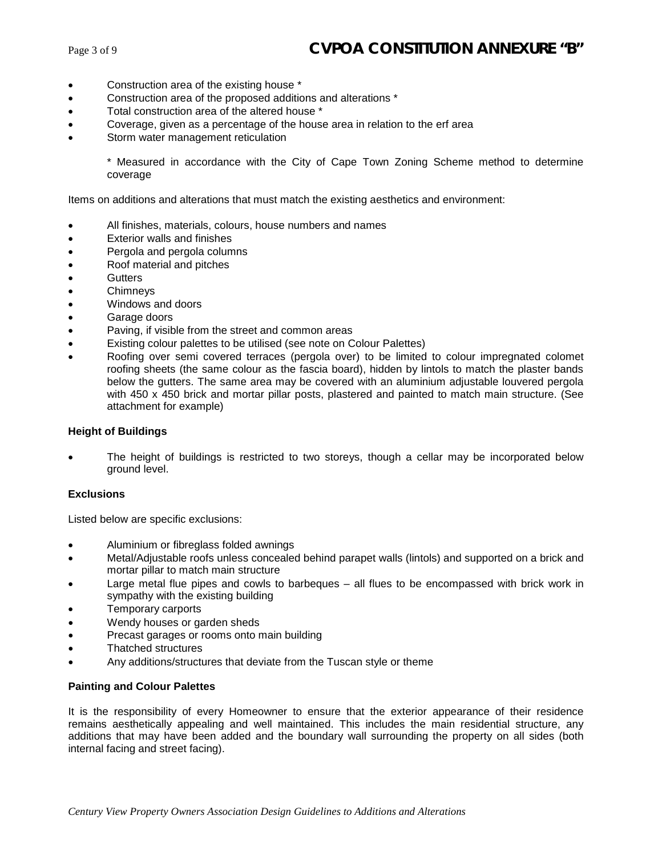- Construction area of the existing house \*
- Construction area of the proposed additions and alterations \*
- Total construction area of the altered house \*
- Coverage, given as a percentage of the house area in relation to the erf area
- Storm water management reticulation

\* Measured in accordance with the City of Cape Town Zoning Scheme method to determine coverage

Items on additions and alterations that must match the existing aesthetics and environment:

- All finishes, materials, colours, house numbers and names
- Exterior walls and finishes
- Pergola and pergola columns
- Roof material and pitches
- **Gutters**
- **Chimneys**
- Windows and doors
- Garage doors
- Paving, if visible from the street and common areas
- Existing colour palettes to be utilised (see note on Colour Palettes)
- Roofing over semi covered terraces (pergola over) to be limited to colour impregnated colomet roofing sheets (the same colour as the fascia board), hidden by lintols to match the plaster bands below the gutters. The same area may be covered with an aluminium adjustable louvered pergola with 450 x 450 brick and mortar pillar posts, plastered and painted to match main structure. (See attachment for example)

#### **Height of Buildings**

The height of buildings is restricted to two storeys, though a cellar may be incorporated below ground level.

#### **Exclusions**

Listed below are specific exclusions:

- Aluminium or fibreglass folded awnings
- Metal/Adjustable roofs unless concealed behind parapet walls (lintols) and supported on a brick and mortar pillar to match main structure
- Large metal flue pipes and cowls to barbeques all flues to be encompassed with brick work in sympathy with the existing building
- Temporary carports
- Wendy houses or garden sheds
- Precast garages or rooms onto main building
- Thatched structures
- Any additions/structures that deviate from the Tuscan style or theme

#### **Painting and Colour Palettes**

It is the responsibility of every Homeowner to ensure that the exterior appearance of their residence remains aesthetically appealing and well maintained. This includes the main residential structure, any additions that may have been added and the boundary wall surrounding the property on all sides (both internal facing and street facing).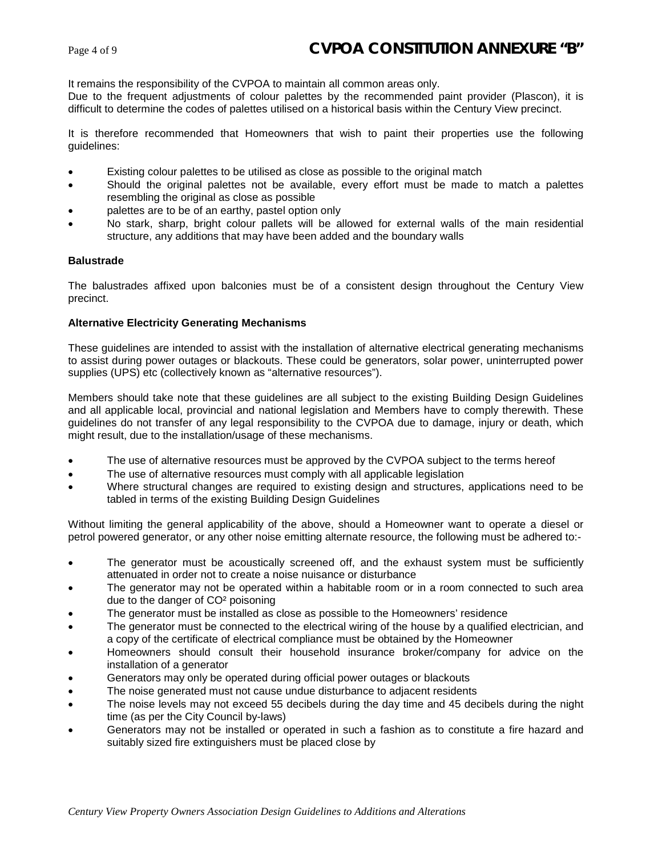It remains the responsibility of the CVPOA to maintain all common areas only.

Due to the frequent adjustments of colour palettes by the recommended paint provider (Plascon), it is difficult to determine the codes of palettes utilised on a historical basis within the Century View precinct.

It is therefore recommended that Homeowners that wish to paint their properties use the following guidelines:

- Existing colour palettes to be utilised as close as possible to the original match
- Should the original palettes not be available, every effort must be made to match a palettes resembling the original as close as possible
- palettes are to be of an earthy, pastel option only
- No stark, sharp, bright colour pallets will be allowed for external walls of the main residential structure, any additions that may have been added and the boundary walls

#### **Balustrade**

The balustrades affixed upon balconies must be of a consistent design throughout the Century View precinct.

#### **Alternative Electricity Generating Mechanisms**

These guidelines are intended to assist with the installation of alternative electrical generating mechanisms to assist during power outages or blackouts. These could be generators, solar power, uninterrupted power supplies (UPS) etc (collectively known as "alternative resources").

Members should take note that these guidelines are all subject to the existing Building Design Guidelines and all applicable local, provincial and national legislation and Members have to comply therewith. These guidelines do not transfer of any legal responsibility to the CVPOA due to damage, injury or death, which might result, due to the installation/usage of these mechanisms.

- The use of alternative resources must be approved by the CVPOA subject to the terms hereof
- The use of alternative resources must comply with all applicable legislation
- Where structural changes are required to existing design and structures, applications need to be tabled in terms of the existing Building Design Guidelines

Without limiting the general applicability of the above, should a Homeowner want to operate a diesel or petrol powered generator, or any other noise emitting alternate resource, the following must be adhered to:-

- The generator must be acoustically screened off, and the exhaust system must be sufficiently attenuated in order not to create a noise nuisance or disturbance
- The generator may not be operated within a habitable room or in a room connected to such area due to the danger of CO² poisoning
- The generator must be installed as close as possible to the Homeowners' residence
- The generator must be connected to the electrical wiring of the house by a qualified electrician, and a copy of the certificate of electrical compliance must be obtained by the Homeowner
- Homeowners should consult their household insurance broker/company for advice on the installation of a generator
- Generators may only be operated during official power outages or blackouts
- The noise generated must not cause undue disturbance to adjacent residents
- The noise levels may not exceed 55 decibels during the day time and 45 decibels during the night time (as per the City Council by-laws)
- Generators may not be installed or operated in such a fashion as to constitute a fire hazard and suitably sized fire extinguishers must be placed close by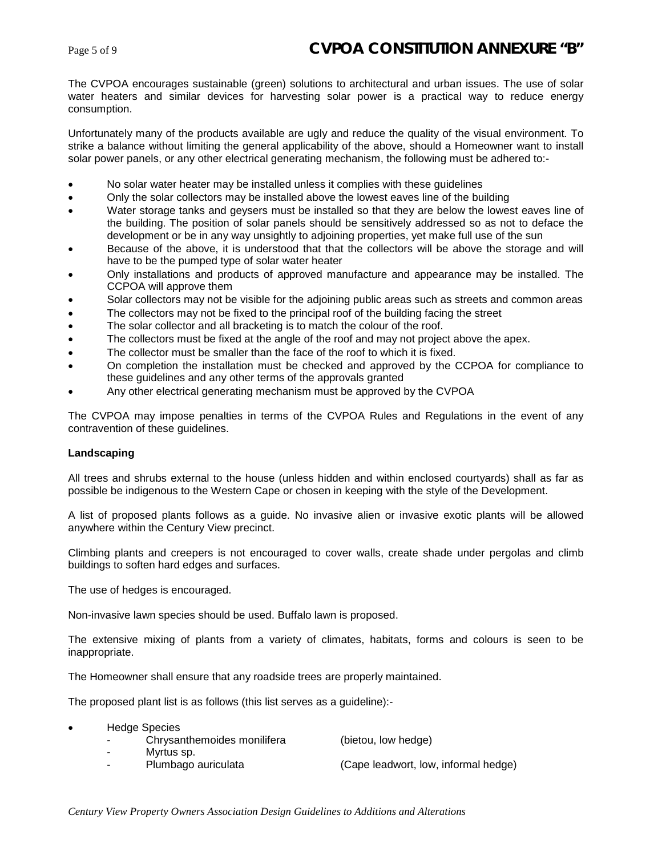The CVPOA encourages sustainable (green) solutions to architectural and urban issues. The use of solar water heaters and similar devices for harvesting solar power is a practical way to reduce energy consumption.

Unfortunately many of the products available are ugly and reduce the quality of the visual environment. To strike a balance without limiting the general applicability of the above, should a Homeowner want to install solar power panels, or any other electrical generating mechanism, the following must be adhered to:-

- No solar water heater may be installed unless it complies with these guidelines
- Only the solar collectors may be installed above the lowest eaves line of the building
- Water storage tanks and geysers must be installed so that they are below the lowest eaves line of the building. The position of solar panels should be sensitively addressed so as not to deface the development or be in any way unsightly to adjoining properties, yet make full use of the sun
- Because of the above, it is understood that that the collectors will be above the storage and will have to be the pumped type of solar water heater
- Only installations and products of approved manufacture and appearance may be installed. The CCPOA will approve them
- Solar collectors may not be visible for the adjoining public areas such as streets and common areas
- The collectors may not be fixed to the principal roof of the building facing the street
- The solar collector and all bracketing is to match the colour of the roof.
- The collectors must be fixed at the angle of the roof and may not project above the apex.
- The collector must be smaller than the face of the roof to which it is fixed.
- On completion the installation must be checked and approved by the CCPOA for compliance to these guidelines and any other terms of the approvals granted
- Any other electrical generating mechanism must be approved by the CVPOA

The CVPOA may impose penalties in terms of the CVPOA Rules and Regulations in the event of any contravention of these guidelines.

#### **Landscaping**

All trees and shrubs external to the house (unless hidden and within enclosed courtyards) shall as far as possible be indigenous to the Western Cape or chosen in keeping with the style of the Development.

A list of proposed plants follows as a guide. No invasive alien or invasive exotic plants will be allowed anywhere within the Century View precinct.

Climbing plants and creepers is not encouraged to cover walls, create shade under pergolas and climb buildings to soften hard edges and surfaces.

The use of hedges is encouraged.

Non-invasive lawn species should be used. Buffalo lawn is proposed.

The extensive mixing of plants from a variety of climates, habitats, forms and colours is seen to be inappropriate.

The Homeowner shall ensure that any roadside trees are properly maintained.

The proposed plant list is as follows (this list serves as a guideline):-

- Hedge Species
	- Chrysanthemoides monilifera (bietou, low hedge)
	- Myrtus sp.
- 
- 

Plumbago auriculata (Cape leadwort, low, informal hedge)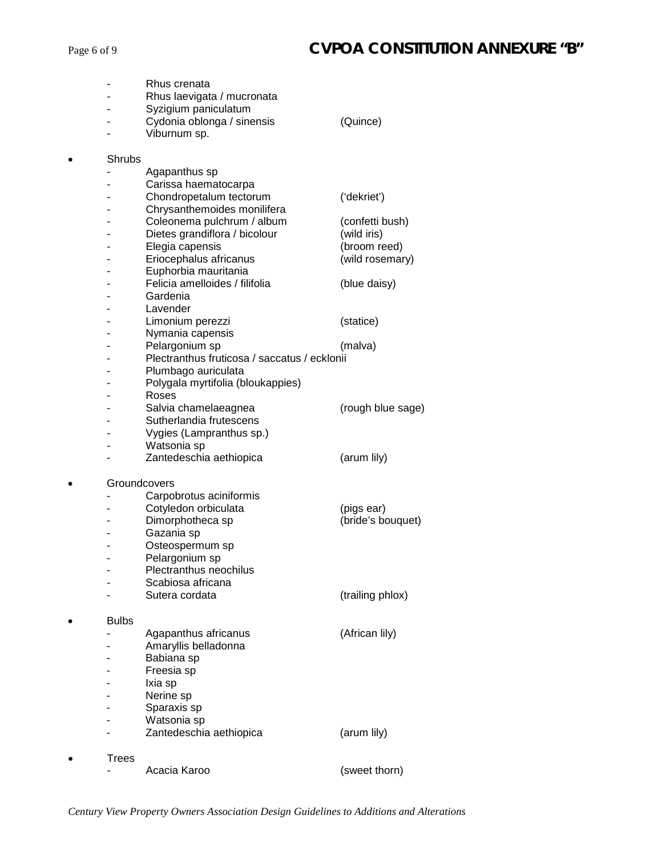|                   | Rhus crenata<br>Rhus laevigata / mucronata<br>Syzigium paniculatum<br>Cydonia oblonga / sinensis<br>Viburnum sp.                                                                                            | (Quince)                                                                         |
|-------------------|-------------------------------------------------------------------------------------------------------------------------------------------------------------------------------------------------------------|----------------------------------------------------------------------------------|
| Shrubs            | Agapanthus sp<br>Carissa haematocarpa<br>Chondropetalum tectorum<br>Chrysanthemoides monilifera<br>Coleonema pulchrum / album<br>Dietes grandiflora / bicolour<br>Elegia capensis<br>Eriocephalus africanus | ('dekriet')<br>(confetti bush)<br>(wild iris)<br>(broom reed)<br>(wild rosemary) |
|                   | Euphorbia mauritania<br>Felicia amelloides / filifolia<br>Gardenia                                                                                                                                          | (blue daisy)                                                                     |
|                   | Lavender<br>Limonium perezzi<br>Nymania capensis<br>Pelargonium sp                                                                                                                                          | (statice)<br>(malva)                                                             |
|                   | Plectranthus fruticosa / saccatus / ecklonii<br>Plumbago auriculata<br>Polygala myrtifolia (bloukappies)<br>Roses<br>Salvia chamelaeagnea<br>Sutherlandia frutescens<br>Vygies (Lampranthus sp.)            | (rough blue sage)                                                                |
|                   | Watsonia sp<br>Zantedeschia aethiopica                                                                                                                                                                      | (arum lily)                                                                      |
| Groundcovers<br>٠ | Carpobrotus aciniformis<br>Cotyledon orbiculata<br>Dimorphotheca sp<br>Gazania sp<br>Osteospermum sp<br>Pelargonium sp<br>Plectranthus neochilus<br>Scabiosa africana                                       | (pigs ear)<br>(bride's bouquet)                                                  |
|                   | Sutera cordata                                                                                                                                                                                              | (trailing phlox)                                                                 |
| <b>Bulbs</b>      | Agapanthus africanus<br>Amaryllis belladonna<br>Babiana sp<br>Freesia sp<br>Ixia sp<br>Nerine sp<br>Sparaxis sp<br>Watsonia sp                                                                              | (African lily)                                                                   |
|                   | Zantedeschia aethiopica                                                                                                                                                                                     | (arum lily)                                                                      |
| Trees             | Acacia Karoo                                                                                                                                                                                                | (sweet thorn)                                                                    |

*Century View Property Owners Association Design Guidelines to Additions and Alterations*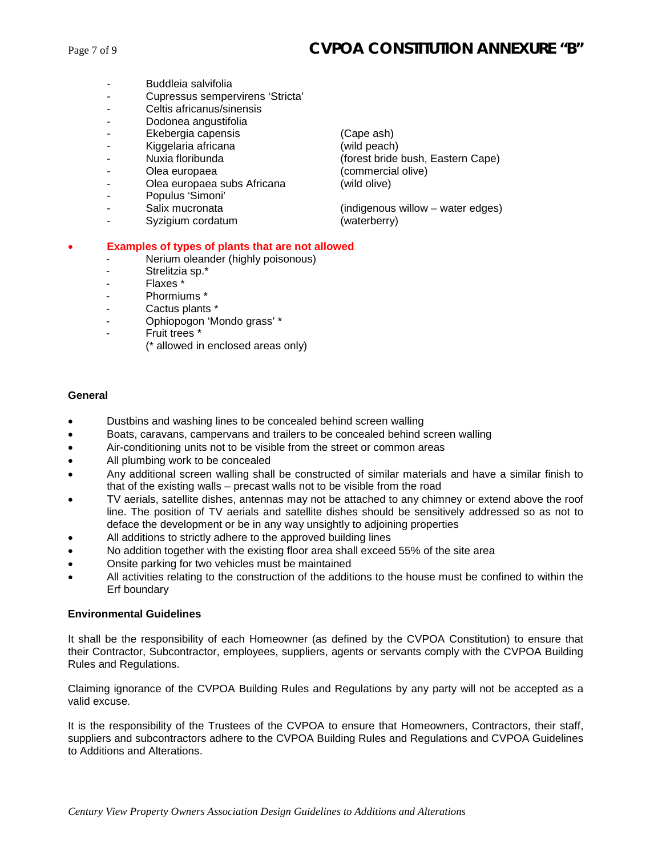- Buddleia salvifolia
- Cupressus sempervirens 'Stricta'
- Celtis africanus/sinensis
- Dodonea angustifolia
- Ekebergia capensis (Cape ash)
- 
- 
- 
- Olea europaea subs Africana (wild olive)
- Populus 'Simoni'
- 
- Syzigium cordatum (waterberry)

Kiggelaria africana (wild peach)<br>
Nuxia floribunda (forest bride - Nuxia floribunda (forest bride bush, Eastern Cape) Olea europaea (commercial olive)

Salix mucronata (indigenous willow – water edges)

#### • **Examples of types of plants that are not allowed**

- Nerium oleander (highly poisonous)
- Strelitzia sp.\*
- Flaxes \*
- Phormiums \*
- Cactus plants \*
- Ophiopogon 'Mondo grass' \*
- Fruit trees \*
	- (\* allowed in enclosed areas only)

#### **General**

- Dustbins and washing lines to be concealed behind screen walling
- Boats, caravans, campervans and trailers to be concealed behind screen walling
- Air-conditioning units not to be visible from the street or common areas
- All plumbing work to be concealed
- Any additional screen walling shall be constructed of similar materials and have a similar finish to that of the existing walls – precast walls not to be visible from the road
- TV aerials, satellite dishes, antennas may not be attached to any chimney or extend above the roof line. The position of TV aerials and satellite dishes should be sensitively addressed so as not to deface the development or be in any way unsightly to adjoining properties
- All additions to strictly adhere to the approved building lines
- No addition together with the existing floor area shall exceed 55% of the site area
- Onsite parking for two vehicles must be maintained
- All activities relating to the construction of the additions to the house must be confined to within the Erf boundary

#### **Environmental Guidelines**

It shall be the responsibility of each Homeowner (as defined by the CVPOA Constitution) to ensure that their Contractor, Subcontractor, employees, suppliers, agents or servants comply with the CVPOA Building Rules and Regulations.

Claiming ignorance of the CVPOA Building Rules and Regulations by any party will not be accepted as a valid excuse.

It is the responsibility of the Trustees of the CVPOA to ensure that Homeowners, Contractors, their staff, suppliers and subcontractors adhere to the CVPOA Building Rules and Regulations and CVPOA Guidelines to Additions and Alterations.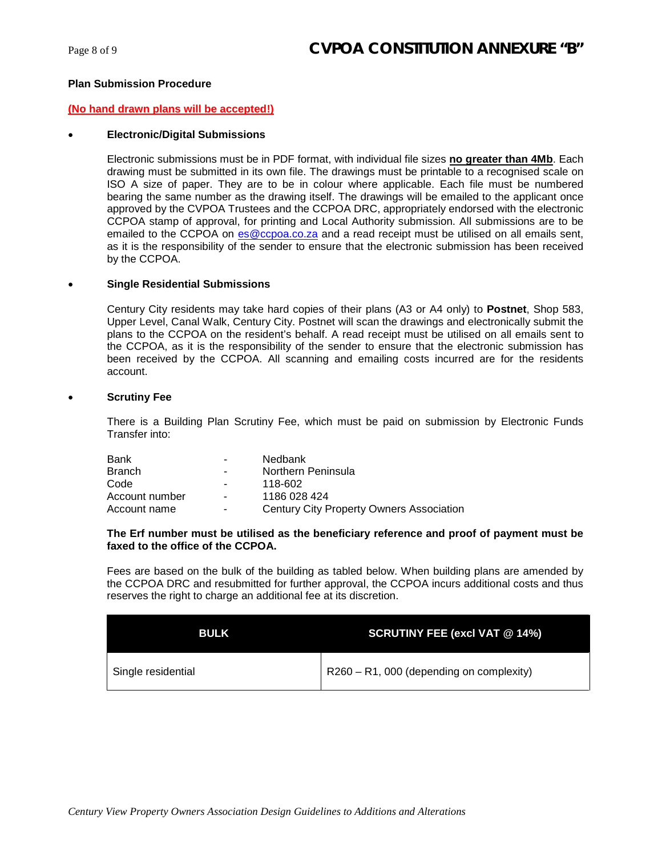#### **Plan Submission Procedure**

#### **(No hand drawn plans will be accepted!)**

#### • **Electronic/Digital Submissions**

Electronic submissions must be in PDF format, with individual file sizes **no greater than 4Mb**. Each drawing must be submitted in its own file. The drawings must be printable to a recognised scale on ISO A size of paper. They are to be in colour where applicable. Each file must be numbered bearing the same number as the drawing itself. The drawings will be emailed to the applicant once approved by the CVPOA Trustees and the CCPOA DRC, appropriately endorsed with the electronic CCPOA stamp of approval, for printing and Local Authority submission. All submissions are to be emailed to the CCPOA on [es@ccpoa.co.za](mailto:es@ccpoa.co.za) and a read receipt must be utilised on all emails sent, as it is the responsibility of the sender to ensure that the electronic submission has been received by the CCPOA.

#### • **Single Residential Submissions**

Century City residents may take hard copies of their plans (A3 or A4 only) to **Postnet**, Shop 583, Upper Level, Canal Walk, Century City. Postnet will scan the drawings and electronically submit the plans to the CCPOA on the resident's behalf. A read receipt must be utilised on all emails sent to the CCPOA, as it is the responsibility of the sender to ensure that the electronic submission has been received by the CCPOA. All scanning and emailing costs incurred are for the residents account.

#### **Scrutiny Fee**

There is a Building Plan Scrutiny Fee, which must be paid on submission by Electronic Funds Transfer into:

| Bank           | $\sim$                   | Nedbank                                         |
|----------------|--------------------------|-------------------------------------------------|
| <b>Branch</b>  | $\blacksquare$           | Northern Peninsula                              |
| Code           | $\blacksquare$           | 118-602                                         |
| Account number | $\blacksquare$           | 1186 028 424                                    |
| Account name   | $\overline{\phantom{a}}$ | <b>Century City Property Owners Association</b> |

#### **The Erf number must be utilised as the beneficiary reference and proof of payment must be faxed to the office of the CCPOA.**

Fees are based on the bulk of the building as tabled below. When building plans are amended by the CCPOA DRC and resubmitted for further approval, the CCPOA incurs additional costs and thus reserves the right to charge an additional fee at its discretion.

| <b>BULK</b>        | <b>SCRUTINY FEE (excl VAT @ 14%)</b>        |
|--------------------|---------------------------------------------|
| Single residential | $R260 - R1$ , 000 (depending on complexity) |